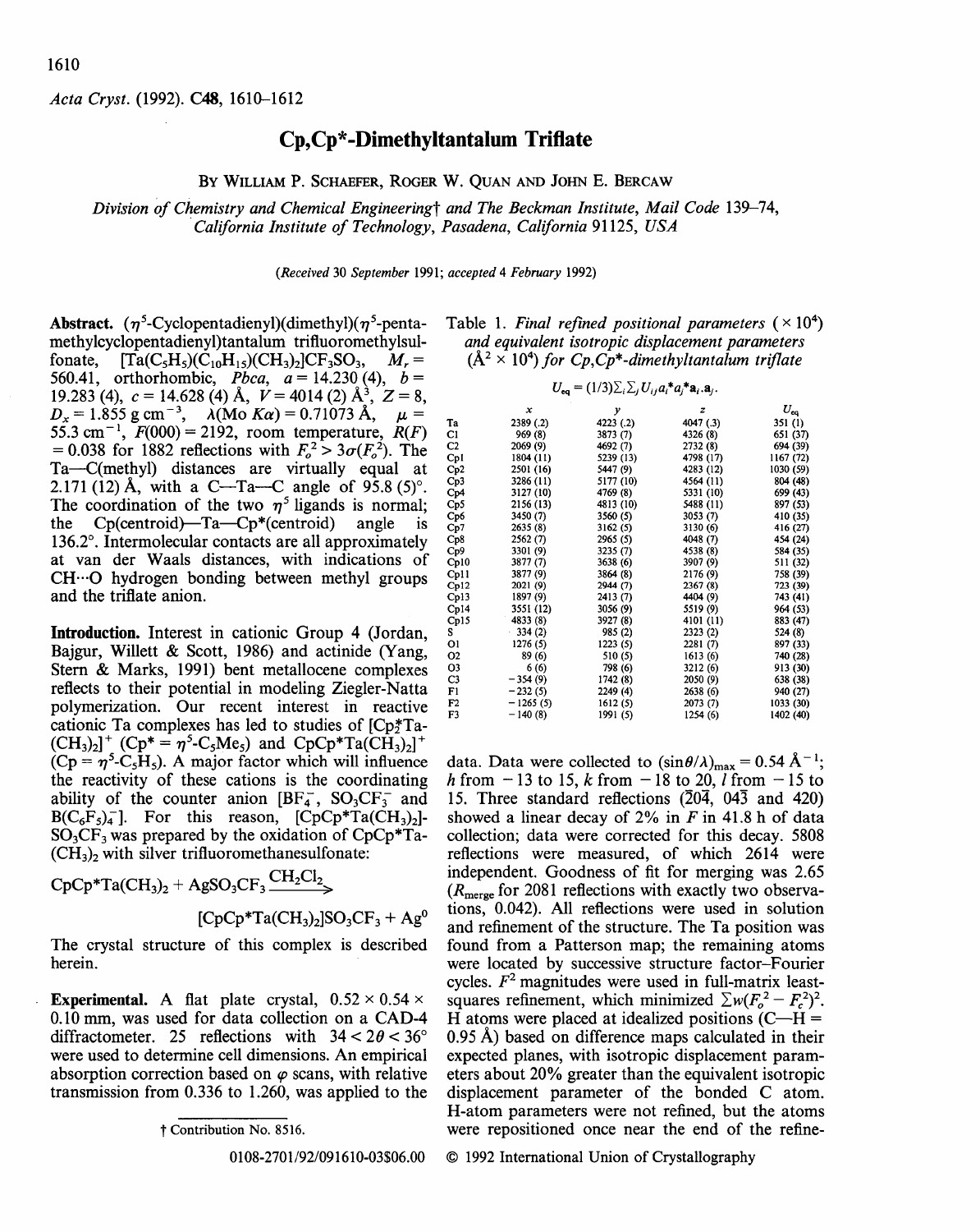*Acta Cryst.* (1992). C48, 1610-1612

## **Cp,Cp\*-Dimethyltantalum Trifl.ate**

BY WILLIAM P. SCHAEFER, ROGER W. QUAN AND JOHN E. BERCAW

*Division of Chemistry and Chemical Engineeringt and The Beckman Institute, Mail Code* 139-74, *·California Institute of Technology, Pasadena, California* 91125, *USA* 

*(Received* 30 *September* 1991; *accepted* 4 *February* 1992)

Abstract.  $(\eta^5$ -Cyclopentadienyl)(dimethyl)( $\eta^5$ -pentamethylcyclopentadienyl)tantalum trifluoromethylsul-<br>fonate.  $\text{Ta}(C_5H_3)(CH_3)(CH_3)_2)CF_3SO_3$ ,  $M_r =$  $[Ta(C_5H_5)(C_{10}H_{15})(CH_3)_2]CF_3SO_3$ ,  $M_r=$ 560.41, orthorhombic, *P<sub>bca</sub>*,  $a = 14.230$  (4),  $b =$ 19.283 (4),  $c = 14.628$  (4) Å,  $V = 4014$  (2) Å<sub>3</sub>,  $Z = 8$ ,  $D_x = 1.855$  g cm<sup>-3</sup>,  $\lambda$ (Mo *Ka*) = 0.71073 Å,  $\mu$  = 55.3 cm<sup>-1</sup>, *F*(000) = 2192, room temperature, *R*(*F*)  $= 0.038$  for 1882 reflections with  $F_o^2 > 3\sigma(F_o^2)$ . The Ta-C(methyl) distances are virtually equal at 2.171 (12) Å, with a C—Ta—C angle of  $95.8$  (5)°. The coordination of the two  $\eta^5$  ligands is normal; the  $Cp$ (centroid)—Ta— $Cp^*$ (centroid) angle is 136.2°. Intermolecular contacts are all approximately at van der Waals distances, with indications of CH···O hydrogen bonding between methyl groups and the triflate anion.

Introduction. Interest in cationic Group 4 (Jordan, Bajgur, Willett & Scott, 1986) and actinide (Yang, Stern & Marks, 1991) bent metallocene complexes reflects to their potential in modeling Ziegler-Natta polymerization. Our recent interest in reactive cationic Ta complexes has led to studies of  $[Cp*Ta (CH_3)_2$ <sup>+</sup>  $(Cp^* = \eta^5 - C_5Me_5)$  and  $CpCp^*Ta(CH_3)_2$ <sup>+</sup>  $(Cp = \eta^5 - C_5H_5)$ . A major factor which will influence the reactivity of these cations is the coordinating ability of the counter anion  $[BF_4^-$ ,  $SO_3CF_3^-$  and  $B(C_6F_5)_4^-$ ]. For this reason,  $[CpCp^*Ta(CH_3)_2]$ - $SO<sub>3</sub>CF<sub>3</sub>$  was prepared by the oxidation of  $CpCp^*Ta$ - $(CH<sub>3</sub>)<sub>2</sub>$  with silver trifluoromethanesulfonate:

$$
CpCp*Ta(CH_3)_2 + AgSO_3CF_3 \xrightarrow{CH_2Cl_2} (CpCp*Ta(CH_3)_2]SO_3CF_3 + Ag^0
$$

The crystal structure of this complex is described herein.

**Experimental.** A flat plate crystal,  $0.52 \times 0.54 \times$ 0.10 mm, was used for data collection on a CAD-4 diffractometer. 25 reflections with  $34 < 2\theta < 36^{\circ}$ were used to determine cell dimensions. An empirical absorption correction based on  $\varphi$  scans, with relative transmission from 0.336 to 1.260, was applied to the

0108-2701/92/091610-03\$06.00

Table 1. Final refined positional parameters  $(\times 10^4)$ *and equivalent isotropic displacement parameters*   $(A<sup>2</sup> \times 10<sup>4</sup>)$  *for Cp,Cp<sup>\*</sup>-dimethyltantalum triflate* 

$$
U_{\mathbf{eq}} = (1/3) \sum_i \sum_j U_{ij} a_i^* a_j^* \mathbf{a}_i \mathbf{a}_j.
$$

|                   | x          | y         | z           | $U_{\rm eq}$ |
|-------------------|------------|-----------|-------------|--------------|
| Ta                | 2389 (.2)  | 4223 (.2) | 4047 (.3)   | 351 (1)      |
| C1                | 969 (8)    | 3873 (7)  | 4326 (8)    | 651 (37)     |
| C2                | 2069 (9)   | 4692 (7)  | 2732 (8)    | 694 (39)     |
| Cp1               | 1804 (11)  | 5239 (13) | 4798 (17)   | 1167 (72)    |
| Cp2               | 2501 (16)  | 5447 (9)  | 4283 (12)   | 1030 (59)    |
| Cp3               | 3286 (11)  | 5177 (10) | 4564 (11)   | 804 (48)     |
| Cp4               | 3127 (10)  | 4769 (8)  | 5331 (10)   | 699 (43)     |
| Cp5               | 2156 (13)  | 4813 (10) | $-5488(11)$ | 897 (53)     |
| Cp6               | 3450 (7)   | 3560 (5)  | 3053(7)     | 410 (35)     |
| $_{\mathsf{Cp7}}$ | 2635 (8)   | 3162(5)   | 3130 (6)    | 416 (27)     |
| Cp8               | 2562(7)    | 2965 (5)  | 4048 (7)    | 454 (24)     |
| Cp9               | 3301 (9)   | 3235 (7)  | 4538 (8)    | 584 (35)     |
| Cp10              | 3877 (7)   | 3638 (6)  | 3907 (9)    | 511 (32)     |
| Cp11              | 3877 (9)   | 3864 (8)  | 2176 (9)    | 758 (39)     |
| Cp12              | 2021 (9)   | 2944 (7)  | 2367 (8)    | 723 (39)     |
| Cp13              | 1897 (9)   | 2413 (7)  | 4404 (9)    | 743 (41)     |
| Cp14              | 3551 (12)  | 3056 (9)  | 5519 (9)    | 964 (53)     |
| Cp15              | 4833 (8)   | 3927 (8)  | 4101 (11)   | 883 (47)     |
| S                 | 334(2)     | 985 (2)   | 2323 (2)    | 524 (8)      |
| 01                | 1276 (5)   | 1223(5)   | 2281 (7)    | 897 (33)     |
| O2                | 89 (6)     | 510 (5)   | 1613(6)     | 740 (28)     |
| O3                | 6(6)       | 798 (6)   | 3212 (6)    | 913 (30)     |
| C3                | $-354(9)$  | 1742 (8)  | 2050 (9)    | 638 (38)     |
| Fl                | $-232(5)$  | 2249 (4)  | 2638(6)     | 940 (27)     |
| F2                | $-1265(5)$ | 1612(5)   | 2073 (7)    | 1033 (30)    |
| F3                | $-140(8)$  | 1991 (5)  | 1254 (6)    | 1402 (40)    |

data. Data were collected to  $(\sin \theta / \lambda)_{\text{max}} = 0.54 \text{ Å}^{-1}$ ; *h* from  $-13$  to 15, *k* from  $-18$  to 20, *l* from  $-15$  to 15. Three standard reflections  $(20\overline{4}, 04\overline{3}$  and 420) showed a linear decay of  $2\%$  in *F* in 41.8 h of data collection; data were corrected for this decay. 5808 reflections were measured, of which 2614 were independent. Goodness of fit for merging was 2.65  $(R<sub>merge</sub>$  for 2081 reflections with exactly two observations, 0.042). All reflections were used in solution and refinement of the structure. The Ta position was found from a Patterson map; the remaining atoms were located by successive structure factor-Fourier cycles.  $F<sup>2</sup>$  magnitudes were used in full-matrix leastsquares refinement, which minimized  $\sum w(F_o^2 - F_c^2)^2$ . H atoms were placed at idealized positions  $(C-H =$ 0.95 A) based on difference maps calculated in their expected planes, with isotropic displacement parameters about 20% greater than the equivalent isotropic displacement parameter of the bonded C atom. H-atom parameters were not refined, but the atoms were repositioned once near the end of the refine-

© 1992 International Union of Crystallography

t Contribution No. 8516.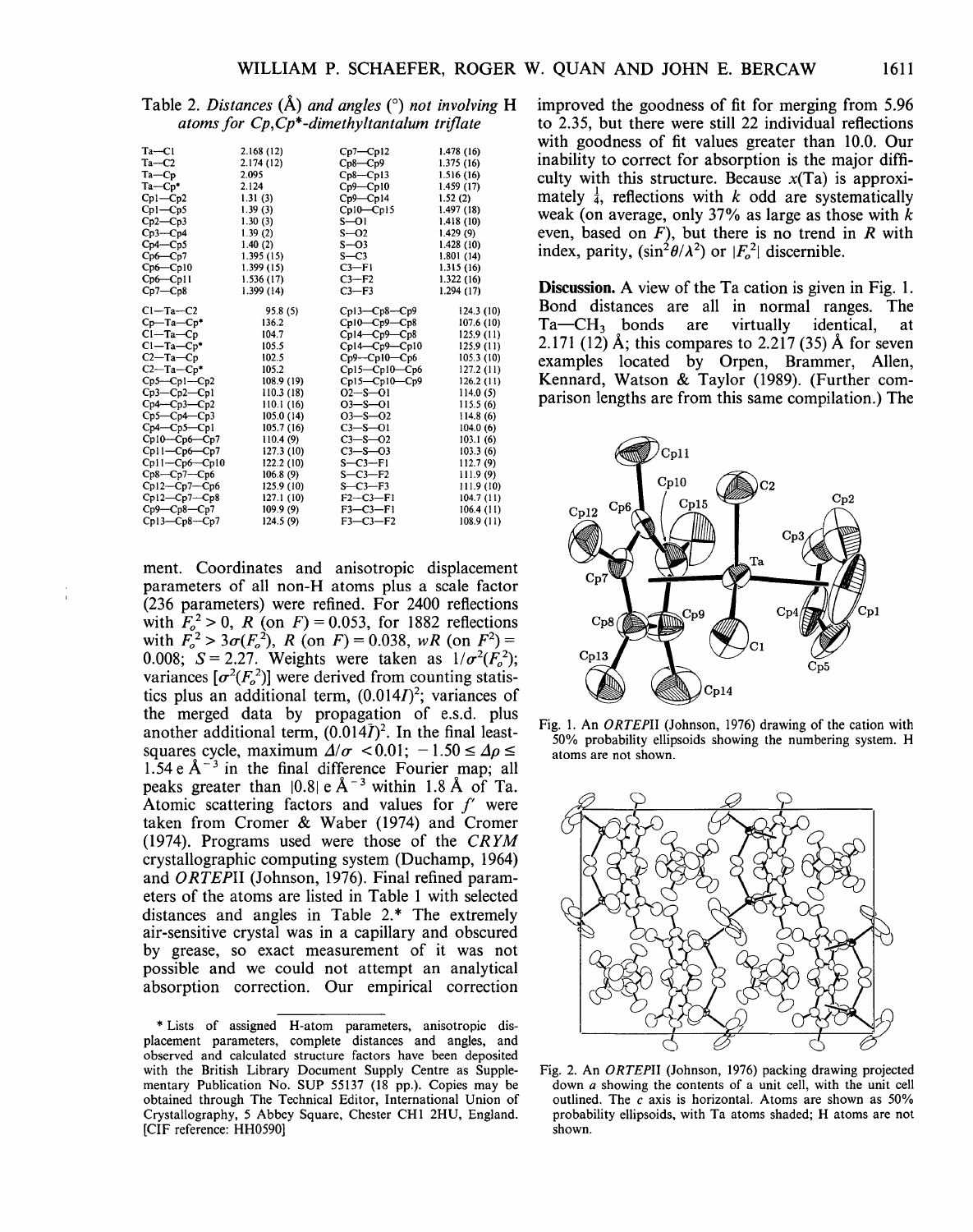| $Ta - C1$<br>2.168(12)<br>$Cp7 - Cp12$<br>$Ta-C2$<br>2.174 (12)<br>$Cp8-Cp9$<br>$Ta$ – $Cp$<br>2.095<br>$Cp8-Cp13$<br>$Ta$ -Cp*<br>2.124<br>$Cp9 - Cp10$<br>$Cp9 - Cp14$<br>$Cp1 - Cp2$<br>1.31(3)<br>1.52(2)<br>$Cp1 - Cp5$<br>1.39(3)<br>Cp10-Cp15<br>$Cp2-Cp3$<br>$S-01$<br>1.30(3)<br>1.39(2)<br>$Cp3-Cp4$<br>$S - O2$<br>$Cp4-Cp5$<br>1.40(2)<br>$S - O3$<br>$S-C3$<br>$Cp6-Cp7$<br>1.395(15)<br>$Cp6-Cp10$<br>1.399(15)<br>$C3-F1$<br>$Cp6 - Cp11$<br>1.536(17)<br>$C3-F2$<br>$Cp7-Cp8$<br>1.399 (14)<br>$C3-F3$<br>$Cl - Ta - C2$<br>$Cpl3-Cp8-Cp9$<br>95.8 (5)<br>136.2<br>$Cp10-Cp9-Cp8$<br>$Cp$ —Ta— $Cp^*$<br>$Cl - Ta - Cp$<br>$Cp14-Cp9-Cp8$<br>104.7<br>$Cl - Ta - Cp*$<br>105.5<br>$Cpl4-Cp9-Cpl0$<br>$C2-Ta-Cp$<br>102.5<br>$Cp9 - Cp10 - Cp6$<br>$C2-Ta-Cp*$<br>105.2<br>$Cp15-Cp10-Cp6$<br>$Cp5-Cp1-Cp2$<br>108.9 (19)<br>$Cp15-Cp10-Cp9$<br>$O2 - S - O1$<br>$Cp3-Cp2-Cp1$<br>110.3 (18)<br>$Cp4-Cp3-Cp2$<br>110.1(16)<br>$O3 - S - O1$<br>$Cp5-Cp4-Cp3$<br>$O3 - S - O2$<br>105.0 (14)<br>$Cp4 - Cp5 - Cp1$<br>$C3 - S - O1$<br>105.7 (16)<br>$Cp10-Cp6-Cp7$<br>$C3 - S - 02$<br>110.4(9)<br>$Cpl1-Cp6-Cp7$<br>$C3 - S - 03$<br>127.3 (10)<br>$S - C3 - F1$<br>$Cpl1-Cp6-Cp10$<br>122.2 (10)<br>$Cp8-Cp7-Cp6$<br>$S - C3 - F2$<br>106.8(9)<br>$S - C3 - F3$<br>$Cp12-Cp7-Cp6$<br>125.9 (10)<br>$F2-C3-F1$<br>$Cp12-Cp7-Cp8$<br>127.1 (10)<br>$F3 - C3 - F1$<br>$Cp9 - Cp8 - Cp7$<br>109.9 (9) |                |           |            |            |
|-------------------------------------------------------------------------------------------------------------------------------------------------------------------------------------------------------------------------------------------------------------------------------------------------------------------------------------------------------------------------------------------------------------------------------------------------------------------------------------------------------------------------------------------------------------------------------------------------------------------------------------------------------------------------------------------------------------------------------------------------------------------------------------------------------------------------------------------------------------------------------------------------------------------------------------------------------------------------------------------------------------------------------------------------------------------------------------------------------------------------------------------------------------------------------------------------------------------------------------------------------------------------------------------------------------------------------------------------------------------------------------------------------------------|----------------|-----------|------------|------------|
|                                                                                                                                                                                                                                                                                                                                                                                                                                                                                                                                                                                                                                                                                                                                                                                                                                                                                                                                                                                                                                                                                                                                                                                                                                                                                                                                                                                                                   |                |           |            | 1.478 (16) |
|                                                                                                                                                                                                                                                                                                                                                                                                                                                                                                                                                                                                                                                                                                                                                                                                                                                                                                                                                                                                                                                                                                                                                                                                                                                                                                                                                                                                                   |                |           |            | 1.375(16)  |
|                                                                                                                                                                                                                                                                                                                                                                                                                                                                                                                                                                                                                                                                                                                                                                                                                                                                                                                                                                                                                                                                                                                                                                                                                                                                                                                                                                                                                   |                |           |            | 1.516(16)  |
|                                                                                                                                                                                                                                                                                                                                                                                                                                                                                                                                                                                                                                                                                                                                                                                                                                                                                                                                                                                                                                                                                                                                                                                                                                                                                                                                                                                                                   |                |           |            | 1.459(17)  |
|                                                                                                                                                                                                                                                                                                                                                                                                                                                                                                                                                                                                                                                                                                                                                                                                                                                                                                                                                                                                                                                                                                                                                                                                                                                                                                                                                                                                                   |                |           |            |            |
|                                                                                                                                                                                                                                                                                                                                                                                                                                                                                                                                                                                                                                                                                                                                                                                                                                                                                                                                                                                                                                                                                                                                                                                                                                                                                                                                                                                                                   |                |           |            | 1.497 (18) |
|                                                                                                                                                                                                                                                                                                                                                                                                                                                                                                                                                                                                                                                                                                                                                                                                                                                                                                                                                                                                                                                                                                                                                                                                                                                                                                                                                                                                                   |                |           |            | 1.418(10)  |
|                                                                                                                                                                                                                                                                                                                                                                                                                                                                                                                                                                                                                                                                                                                                                                                                                                                                                                                                                                                                                                                                                                                                                                                                                                                                                                                                                                                                                   |                |           |            | 1.429(9)   |
|                                                                                                                                                                                                                                                                                                                                                                                                                                                                                                                                                                                                                                                                                                                                                                                                                                                                                                                                                                                                                                                                                                                                                                                                                                                                                                                                                                                                                   |                |           |            | 1.428(10)  |
|                                                                                                                                                                                                                                                                                                                                                                                                                                                                                                                                                                                                                                                                                                                                                                                                                                                                                                                                                                                                                                                                                                                                                                                                                                                                                                                                                                                                                   |                |           |            | 1.801 (14) |
|                                                                                                                                                                                                                                                                                                                                                                                                                                                                                                                                                                                                                                                                                                                                                                                                                                                                                                                                                                                                                                                                                                                                                                                                                                                                                                                                                                                                                   |                |           |            | 1.315(16)  |
|                                                                                                                                                                                                                                                                                                                                                                                                                                                                                                                                                                                                                                                                                                                                                                                                                                                                                                                                                                                                                                                                                                                                                                                                                                                                                                                                                                                                                   |                |           |            | 1.322 (16) |
|                                                                                                                                                                                                                                                                                                                                                                                                                                                                                                                                                                                                                                                                                                                                                                                                                                                                                                                                                                                                                                                                                                                                                                                                                                                                                                                                                                                                                   |                |           |            | 1.294(17)  |
|                                                                                                                                                                                                                                                                                                                                                                                                                                                                                                                                                                                                                                                                                                                                                                                                                                                                                                                                                                                                                                                                                                                                                                                                                                                                                                                                                                                                                   |                |           |            | 124.3 (10) |
|                                                                                                                                                                                                                                                                                                                                                                                                                                                                                                                                                                                                                                                                                                                                                                                                                                                                                                                                                                                                                                                                                                                                                                                                                                                                                                                                                                                                                   |                |           |            | 107.6 (10) |
|                                                                                                                                                                                                                                                                                                                                                                                                                                                                                                                                                                                                                                                                                                                                                                                                                                                                                                                                                                                                                                                                                                                                                                                                                                                                                                                                                                                                                   |                |           |            | 125.9 (11) |
|                                                                                                                                                                                                                                                                                                                                                                                                                                                                                                                                                                                                                                                                                                                                                                                                                                                                                                                                                                                                                                                                                                                                                                                                                                                                                                                                                                                                                   |                |           |            | 125.9 (11) |
|                                                                                                                                                                                                                                                                                                                                                                                                                                                                                                                                                                                                                                                                                                                                                                                                                                                                                                                                                                                                                                                                                                                                                                                                                                                                                                                                                                                                                   |                |           |            | 105.3(10)  |
|                                                                                                                                                                                                                                                                                                                                                                                                                                                                                                                                                                                                                                                                                                                                                                                                                                                                                                                                                                                                                                                                                                                                                                                                                                                                                                                                                                                                                   |                |           |            | 127.2 (11) |
|                                                                                                                                                                                                                                                                                                                                                                                                                                                                                                                                                                                                                                                                                                                                                                                                                                                                                                                                                                                                                                                                                                                                                                                                                                                                                                                                                                                                                   |                |           |            | 126.2 (11) |
|                                                                                                                                                                                                                                                                                                                                                                                                                                                                                                                                                                                                                                                                                                                                                                                                                                                                                                                                                                                                                                                                                                                                                                                                                                                                                                                                                                                                                   |                |           |            | 114.0(5)   |
|                                                                                                                                                                                                                                                                                                                                                                                                                                                                                                                                                                                                                                                                                                                                                                                                                                                                                                                                                                                                                                                                                                                                                                                                                                                                                                                                                                                                                   |                |           |            | 115.5(6)   |
|                                                                                                                                                                                                                                                                                                                                                                                                                                                                                                                                                                                                                                                                                                                                                                                                                                                                                                                                                                                                                                                                                                                                                                                                                                                                                                                                                                                                                   |                |           |            | 114.8(6)   |
|                                                                                                                                                                                                                                                                                                                                                                                                                                                                                                                                                                                                                                                                                                                                                                                                                                                                                                                                                                                                                                                                                                                                                                                                                                                                                                                                                                                                                   |                |           |            | 104.0(6)   |
|                                                                                                                                                                                                                                                                                                                                                                                                                                                                                                                                                                                                                                                                                                                                                                                                                                                                                                                                                                                                                                                                                                                                                                                                                                                                                                                                                                                                                   |                |           |            | 103.1(6)   |
|                                                                                                                                                                                                                                                                                                                                                                                                                                                                                                                                                                                                                                                                                                                                                                                                                                                                                                                                                                                                                                                                                                                                                                                                                                                                                                                                                                                                                   |                |           |            | 103.3(6)   |
|                                                                                                                                                                                                                                                                                                                                                                                                                                                                                                                                                                                                                                                                                                                                                                                                                                                                                                                                                                                                                                                                                                                                                                                                                                                                                                                                                                                                                   |                |           |            | 112.7(9)   |
|                                                                                                                                                                                                                                                                                                                                                                                                                                                                                                                                                                                                                                                                                                                                                                                                                                                                                                                                                                                                                                                                                                                                                                                                                                                                                                                                                                                                                   |                |           |            | 111.9 (9)  |
|                                                                                                                                                                                                                                                                                                                                                                                                                                                                                                                                                                                                                                                                                                                                                                                                                                                                                                                                                                                                                                                                                                                                                                                                                                                                                                                                                                                                                   |                |           |            | 111.9 (10) |
|                                                                                                                                                                                                                                                                                                                                                                                                                                                                                                                                                                                                                                                                                                                                                                                                                                                                                                                                                                                                                                                                                                                                                                                                                                                                                                                                                                                                                   |                |           |            | 104.7 (11) |
|                                                                                                                                                                                                                                                                                                                                                                                                                                                                                                                                                                                                                                                                                                                                                                                                                                                                                                                                                                                                                                                                                                                                                                                                                                                                                                                                                                                                                   |                |           |            | 106.4(11)  |
|                                                                                                                                                                                                                                                                                                                                                                                                                                                                                                                                                                                                                                                                                                                                                                                                                                                                                                                                                                                                                                                                                                                                                                                                                                                                                                                                                                                                                   | $Cp13-Cp8-Cp7$ | 124.5 (9) | $F3-C3-F2$ | 108.9 (11) |

Table 2. *Distances* (A) *and angles* ( 0 ) *not involving* H *atoms for Cp,Cp\*-dimethyltantalum triflate* 

ment. Coordinates and anisotropic displacement parameters of all non-H atoms plus a scale factor (236 parameters) were refined. For 2400 reflections with  $F_o^2 > 0$ , R (on F) = 0.053, for 1882 reflections with  $F_o^2 > 3\sigma(F_o^2)$ , *R* (on *F*) = 0.038, *wR* (on *F*<sup>2</sup>) = 0.008;  $S = 2.27$ . Weights were taken as  $1/\sigma^2(F_o^2)$ ; variances  $[\sigma^2(F_o^2)]$  were derived from counting statistics plus an additional term,  $(0.014I)^2$ ; variances of the merged data by propagation of e.s.d. plus another additional term,  $(0.014\overline{I})^2$ . In the final leastsquares cycle, maximum  $\Delta/\sigma$  < 0.01;  $-1.50 \le \Delta \rho \le$ 1.54 e  $A^{-3}$  in the final difference Fourier map; all peaks greater than  $|0.8| \times A^{-3}$  within 1.8 Å of Ta. Atomic scattering factors and values for  $f'$  were taken from Cromer & Waber (1974) and Cromer (1974). Programs used were those of the *CRYM*  crystallographic computing system (Duchamp, 1964) and *ORTEPII* (Johnson, 1976). Final refined parameters of the atoms are listed in Table 1 with selected distances and angles in Table  $2.*$  The extremely air-sensitive crystal was in a capillary and obscured by grease, so exact measurement of it was not possible and we could not attempt an analytical absorption correction. Our empirical correction

improved the goodness of fit for merging from 5.96 to 2.35, but there were still 22 individual reflections with goodness of fit values greater than 10.0. Our inability to correct for absorption is the major difficulty with this structure. Because  $x(Ta)$  is approximately  $\frac{1}{4}$ , reflections with *k* odd are systematically weak (on average, only 37% as large as those with *k*  even, based on  $F$ ), but there is no trend in  $R$  with index, parity,  $(\sin^2 \theta / \lambda^2)$  or  $|F_o^2|$  discernible.

Discussion. A view of the Ta cation is given in Fig. 1. Bond distances are all in normal ranges. The Ta—CH<sub>3</sub> bonds are virtually identical, at are virtually identical, at 2.171 (12) Å; this compares to 2.217 (35) Å for seven examples located by Orpen, Brammer, Allen, Kennard, Watson & Taylor (1989). (Further comparison lengths are from this same compilation.) The



Fig. 1. An *ORTEPII* (Johnson, 1976) drawing of the cation with 50% probability ellipsoids showing the numbering system. H atoms are not shown.



Fig. 2. An *0 RTEPII* (Johnson, 1976) packing drawing projected down a showing the contents of a unit cell, with the unit cell outlined. The *c* axis is horizontal. Atoms are shown as 50% probability ellipsoids, with Ta atoms shaded; H atoms are not shown.

<sup>\*</sup>Lists of assigned H-atom parameters, anisotropic displacement parameters, complete distances and angles, and observed and calculated structure factors have been deposited with the British Library Document Supply Centre as Supplementary Publication No. SUP 55137 (18 pp.). Copies may be obtained through The Technical Editor, International Union of Crystallography, 5 Abbey Square, Chester CHI 2HU, England. [CIF reference: HH0590]